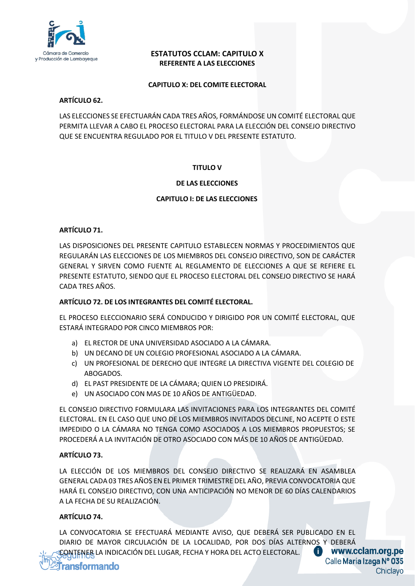

# **ESTATUTOS CCLAM: CAPITULO X REFERENTE A LAS ELECCIONES**

#### **CAPITULO X: DEL COMITE ELECTORAL**

## **ARTÍCULO 62.**

LAS ELECCIONES SE EFECTUARÁN CADA TRES AÑOS, FORMÁNDOSE UN COMITÉ ELECTORAL QUE PERMITA LLEVAR A CABO EL PROCESO ELECTORAL PARA LA ELECCIÓN DEL CONSEJO DIRECTIVO QUE SE ENCUENTRA REGULADO POR EL TITULO V DEL PRESENTE ESTATUTO.

# **TITULO V**

# **DE LAS ELECCIONES**

## **CAPITULO I: DE LAS ELECCIONES**

## **ARTÍCULO 71.**

LAS DISPOSICIONES DEL PRESENTE CAPITULO ESTABLECEN NORMAS Y PROCEDIMIENTOS QUE REGULARÁN LAS ELECCIONES DE LOS MIEMBROS DEL CONSEJO DIRECTIVO, SON DE CARÁCTER GENERAL Y SIRVEN COMO FUENTE AL REGLAMENTO DE ELECCIONES A QUE SE REFIERE EL PRESENTE ESTATUTO, SIENDO QUE EL PROCESO ELECTORAL DEL CONSEJO DIRECTIVO SE HARÁ CADA TRES AÑOS.

#### **ARTÍCULO 72. DE LOS INTEGRANTES DEL COMITÉ ELECTORAL.**

EL PROCESO ELECCIONARIO SERÁ CONDUCIDO Y DIRIGIDO POR UN COMITÉ ELECTORAL, QUE ESTARÁ INTEGRADO POR CINCO MIEMBROS POR:

- a) EL RECTOR DE UNA UNIVERSIDAD ASOCIADO A LA CÁMARA.
- b) UN DECANO DE UN COLEGIO PROFESIONAL ASOCIADO A LA CÁMARA.
- c) UN PROFESIONAL DE DERECHO QUE INTEGRE LA DIRECTIVA VIGENTE DEL COLEGIO DE ABOGADOS.
- d) EL PAST PRESIDENTE DE LA CÁMARA; QUIEN LO PRESIDIRÁ.
- e) UN ASOCIADO CON MAS DE 10 AÑOS DE ANTIGÜEDAD.

EL CONSEJO DIRECTIVO FORMULARA LAS INVITACIONES PARA LOS INTEGRANTES DEL COMITÉ ELECTORAL. EN EL CASO QUE UNO DE LOS MIEMBROS INVITADOS DECLINE, NO ACEPTE O ESTE IMPEDIDO O LA CÁMARA NO TENGA COMO ASOCIADOS A LOS MIEMBROS PROPUESTOS; SE PROCEDERÁ A LA INVITACIÓN DE OTRO ASOCIADO CON MÁS DE 10 AÑOS DE ANTIGÜEDAD.

#### **ARTÍCULO 73.**

LA ELECCIÓN DE LOS MIEMBROS DEL CONSEJO DIRECTIVO SE REALIZARÁ EN ASAMBLEA GENERAL CADA 03 TRES AÑOS EN EL PRIMER TRIMESTRE DEL AÑO, PREVIA CONVOCATORIA QUE HARÁ EL CONSEJO DIRECTIVO, CON UNA ANTICIPACIÓN NO MENOR DE 60 DÍAS CALENDARIOS A LA FECHA DE SU REALIZACIÓN.

#### **ARTÍCULO 74.**

LA CONVOCATORIA SE EFECTUARÁ MEDIANTE AVISO, QUE DEBERÁ SER PUBLICADO EN EL DIARIO DE MAYOR CIRCULACIÓN DE LA LOCALIDAD, POR DOS DÍAS ALTERNOS Y DEBERÁ O CONTENER LA INDICACIÓN DEL LUGAR, FECHA Y HORA DEL ACTO ELECTORAL.

www.cclam.org.pe Calle María Izaga Nº 035 Chiclayo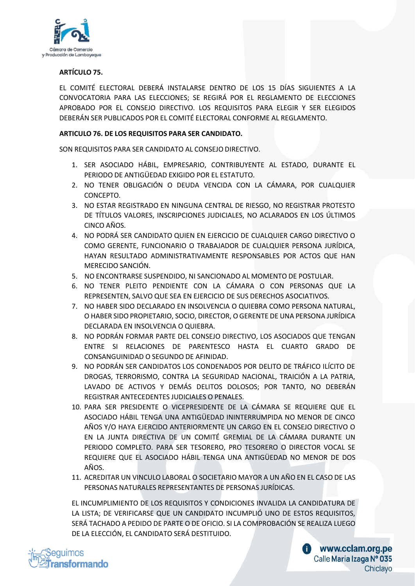

## **ARTÍCULO 75.**

EL COMITÉ ELECTORAL DEBERÁ INSTALARSE DENTRO DE LOS 15 DÍAS SIGUIENTES A LA CONVOCATORIA PARA LAS ELECCIONES; SE REGIRÁ POR EL REGLAMENTO DE ELECCIONES APROBADO POR EL CONSEJO DIRECTIVO. LOS REQUISITOS PARA ELEGIR Y SER ELEGIDOS DEBERÁN SER PUBLICADOS POR EL COMITÉ ELECTORAL CONFORME AL REGLAMENTO.

## **ARTICULO 76. DE LOS REQUISITOS PARA SER CANDIDATO.**

SON REQUISITOS PARA SER CANDIDATO AL CONSEJO DIRECTIVO.

- 1. SER ASOCIADO HÁBIL, EMPRESARIO, CONTRIBUYENTE AL ESTADO, DURANTE EL PERIODO DE ANTIGÜEDAD EXIGIDO POR EL ESTATUTO.
- 2. NO TENER OBLIGACIÓN O DEUDA VENCIDA CON LA CÁMARA, POR CUALQUIER CONCEPTO.
- 3. NO ESTAR REGISTRADO EN NINGUNA CENTRAL DE RIESGO, NO REGISTRAR PROTESTO DE TÍTULOS VALORES, INSCRIPCIONES JUDICIALES, NO ACLARADOS EN LOS ÚLTIMOS CINCO AÑOS.
- 4. NO PODRÁ SER CANDIDATO QUIEN EN EJERCICIO DE CUALQUIER CARGO DIRECTIVO O COMO GERENTE, FUNCIONARIO O TRABAJADOR DE CUALQUIER PERSONA JURÍDICA, HAYAN RESULTADO ADMINISTRATIVAMENTE RESPONSABLES POR ACTOS QUE HAN MERECIDO SANCIÓN.
- 5. NO ENCONTRARSE SUSPENDIDO, NI SANCIONADO AL MOMENTO DE POSTULAR.
- 6. NO TENER PLEITO PENDIENTE CON LA CÁMARA O CON PERSONAS QUE LA REPRESENTEN, SALVO QUE SEA EN EJERCICIO DE SUS DERECHOS ASOCIATIVOS.
- 7. NO HABER SIDO DECLARADO EN INSOLVENCIA O QUIEBRA COMO PERSONA NATURAL, O HABER SIDOPROPIETARIO, SOCIO, DIRECTOR, O GERENTE DE UNA PERSONA JURÍDICA DECLARADA EN INSOLVENCIA O QUIEBRA.
- 8. NO PODRÁN FORMAR PARTE DEL CONSEJO DIRECTIVO, LOS ASOCIADOS QUE TENGAN ENTRE SI RELACIONES DE PARENTESCO HASTA EL CUARTO GRADO DE CONSANGUINIDAD O SEGUNDO DE AFINIDAD.
- 9. NO PODRÁN SER CANDIDATOS LOS CONDENADOS POR DELITO DE TRÁFICO ILÍCITO DE DROGAS, TERRORISMO, CONTRA LA SEGURIDAD NACIONAL, TRAICIÓN A LA PATRIA, LAVADO DE ACTIVOS Y DEMÁS DELITOS DOLOSOS; POR TANTO, NO DEBERÁN REGISTRAR ANTECEDENTES JUDICIALES O PENALES.
- 10. PARA SER PRESIDENTE O VICEPRESIDENTE DE LA CÁMARA SE REQUIERE QUE EL ASOCIADO HÁBIL TENGA UNA ANTIGÜEDAD ININTERRUMPIDA NO MENOR DE CINCO AÑOS Y/O HAYA EJERCIDO ANTERIORMENTE UN CARGO EN EL CONSEJO DIRECTIVO O EN LA JUNTA DIRECTIVA DE UN COMITÉ GREMIAL DE LA CÁMARA DURANTE UN PERIODO COMPLETO. PARA SER TESORERO, PRO TESORERO O DIRECTOR VOCAL SE REQUIERE QUE EL ASOCIADO HÁBIL TENGA UNA ANTIGÜEDAD NO MENOR DE DOS AÑOS.
- 11. ACREDITAR UN VINCULO LABORAL O SOCIETARIO MAYOR A UN AÑO EN EL CASO DE LAS PERSONAS NATURALES REPRESENTANTES DE PERSONAS JURÍDICAS.

EL INCUMPLIMIENTO DE LOS REQUISITOS Y CONDICIONES INVALIDA LA CANDIDATURA DE LA LISTA; DE VERIFICARSE QUE UN CANDIDATO INCUMPLIÓ UNO DE ESTOS REQUISITOS, SERÁ TACHADO A PEDIDO DE PARTE O DE OFICIO. SI LA COMPROBACIÓN SE REALIZA LUEGO DE LA ELECCIÓN, EL CANDIDATO SERÁ DESTITUIDO.



www.cclam.org.pe Calle Maria Izaga Nº 035 Chiclayo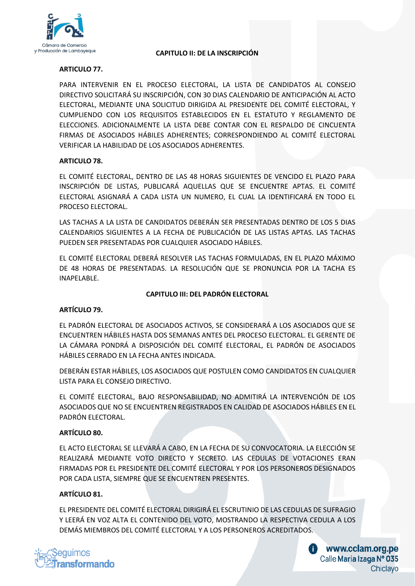

#### **CAPITULO II: DE LA INSCRIPCIÓN**

# **ARTICULO 77.**

PARA INTERVENIR EN EL PROCESO ELECTORAL, LA LISTA DE CANDIDATOS AL CONSEJO DIRECTIVO SOLICITARÁ SU INSCRIPCIÓN, CON 30 DIAS CALENDARIO DE ANTICIPACIÓN AL ACTO ELECTORAL, MEDIANTE UNA SOLICITUD DIRIGIDA AL PRESIDENTE DEL COMITÉ ELECTORAL, Y CUMPLIENDO CON LOS REQUISITOS ESTABLECIDOS EN EL ESTATUTO Y REGLAMENTO DE ELECCIONES. ADICIONALMENTE LA LISTA DEBE CONTAR CON EL RESPALDO DE CINCUENTA FIRMAS DE ASOCIADOS HÁBILES ADHERENTES; CORRESPONDIENDO AL COMITÉ ELECTORAL VERIFICAR LA HABILIDAD DE LOS ASOCIADOS ADHERENTES.

#### **ARTICULO 78.**

EL COMITÉ ELECTORAL, DENTRO DE LAS 48 HORAS SIGUIENTES DE VENCIDO EL PLAZO PARA INSCRIPCIÓN DE LISTAS, PUBLICARÁ AQUELLAS QUE SE ENCUENTRE APTAS. EL COMITÉ ELECTORAL ASIGNARÁ A CADA LISTA UN NUMERO, EL CUAL LA IDENTIFICARÁ EN TODO EL PROCESO ELECTORAL.

LAS TACHAS A LA LISTA DE CANDIDATOS DEBERÁN SER PRESENTADAS DENTRO DE LOS 5 DIAS CALENDARIOS SIGUIENTES A LA FECHA DE PUBLICACIÓN DE LAS LISTAS APTAS. LAS TACHAS PUEDEN SER PRESENTADAS POR CUALQUIER ASOCIADO HÁBILES.

EL COMITÉ ELECTORAL DEBERÁ RESOLVER LAS TACHAS FORMULADAS, EN EL PLAZO MÁXIMO DE 48 HORAS DE PRESENTADAS. LA RESOLUCIÓN QUE SE PRONUNCIA POR LA TACHA ES INAPELABLE.

## **CAPITULO III: DEL PADRÓN ELECTORAL**

#### **ARTÍCULO 79.**

EL PADRÓN ELECTORAL DE ASOCIADOS ACTIVOS, SE CONSIDERARÁ A LOS ASOCIADOS QUE SE ENCUENTREN HÁBILES HASTA DOS SEMANAS ANTES DEL PROCESO ELECTORAL. EL GERENTE DE LA CÁMARA PONDRÁ A DISPOSICIÓN DEL COMITÉ ELECTORAL, EL PADRÓN DE ASOCIADOS HÁBILES CERRADO EN LA FECHA ANTES INDICADA.

DEBERÁN ESTAR HÁBILES, LOS ASOCIADOS QUE POSTULEN COMO CANDIDATOS EN CUALQUIER LISTA PARA EL CONSEJO DIRECTIVO.

EL COMITÉ ELECTORAL, BAJO RESPONSABILIDAD, NO ADMITIRÁ LA INTERVENCIÓN DE LOS ASOCIADOS QUE NO SE ENCUENTREN REGISTRADOS EN CALIDAD DE ASOCIADOS HÁBILES EN EL PADRÓN ELECTORAL.

#### **ARTÍCULO 80.**

EL ACTO ELECTORAL SE LLEVARÁ A CABO, EN LA FECHA DE SU CONVOCATORIA. LA ELECCIÓN SE REALIZARÁ MEDIANTE VOTO DIRECTO Y SECRETO. LAS CEDULAS DE VOTACIONES ERAN FIRMADAS POR EL PRESIDENTE DEL COMITÉ ELECTORAL Y POR LOS PERSONEROS DESIGNADOS POR CADA LISTA, SIEMPRE QUE SE ENCUENTREN PRESENTES.

#### **ARTÍCULO 81.**

EL PRESIDENTE DEL COMITÉ ELECTORAL DIRIGIRÁ EL ESCRUTINIO DE LAS CEDULAS DE SUFRAGIO Y LEERÁ EN VOZ ALTA EL CONTENIDO DEL VOTO, MOSTRANDO LA RESPECTIVA CEDULA A LOS DEMÁS MIEMBROS DEL COMITÉ ELECTORAL Y A LOS PERSONEROS ACREDITADOS.



www.cclam.org.pe Calle Maria Izaga Nº 035 Chiclayo